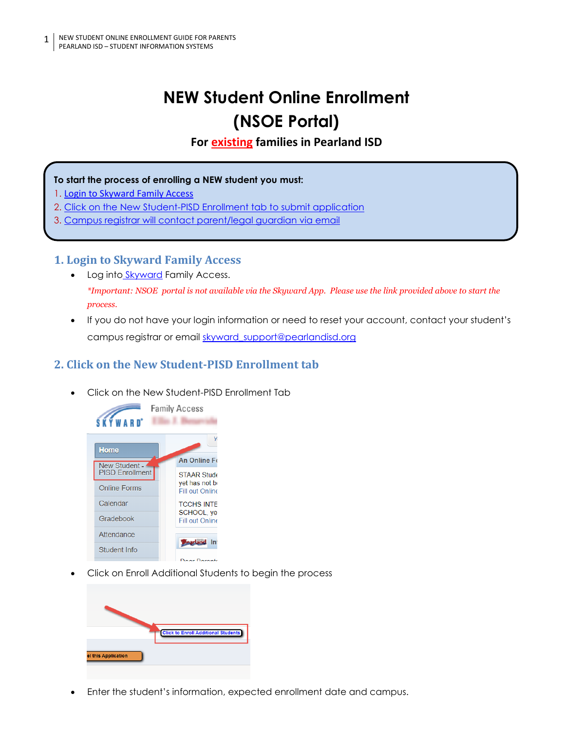# **NEW Student Online Enrollment (NSOE Portal)**

**For existing families in Pearland ISD**

#### **To start the process of enrolling a NEW student you must:**

- 1. [Login to Skyward Family Access](https://skyward.pearlandisd.org/scripts/wsisa.dll/WService=wsEAplus/seplog01.w)
- 2. [Click on the New Student-PISD Enrollment tab to submit application](#page-0-0)
- 3. [Campus registrar will contact parent/legal guardian via email](#page-1-0)

### **1. Login to Skyward Family Access**

- Log into [Skyward](https://skyward.pearlandisd.org/scripts/wsisa.dll/WService=wsEAplus/seplog01.w) Family Access. *\*Important: NSOE portal is not available via the Skyward App. Please use the link provided above to start the process.*
- If you do not have your login information or need to reset your account, contact your student's campus registrar or email skyward support@pearlandisd.org

# <span id="page-0-0"></span>**2. Click on the New Student-PISD Enrollment tab**

• Click on the New Student-PISD Enrollment Tab



• Click on Enroll Additional Students to begin the process



• Enter the student's information, expected enrollment date and campus.